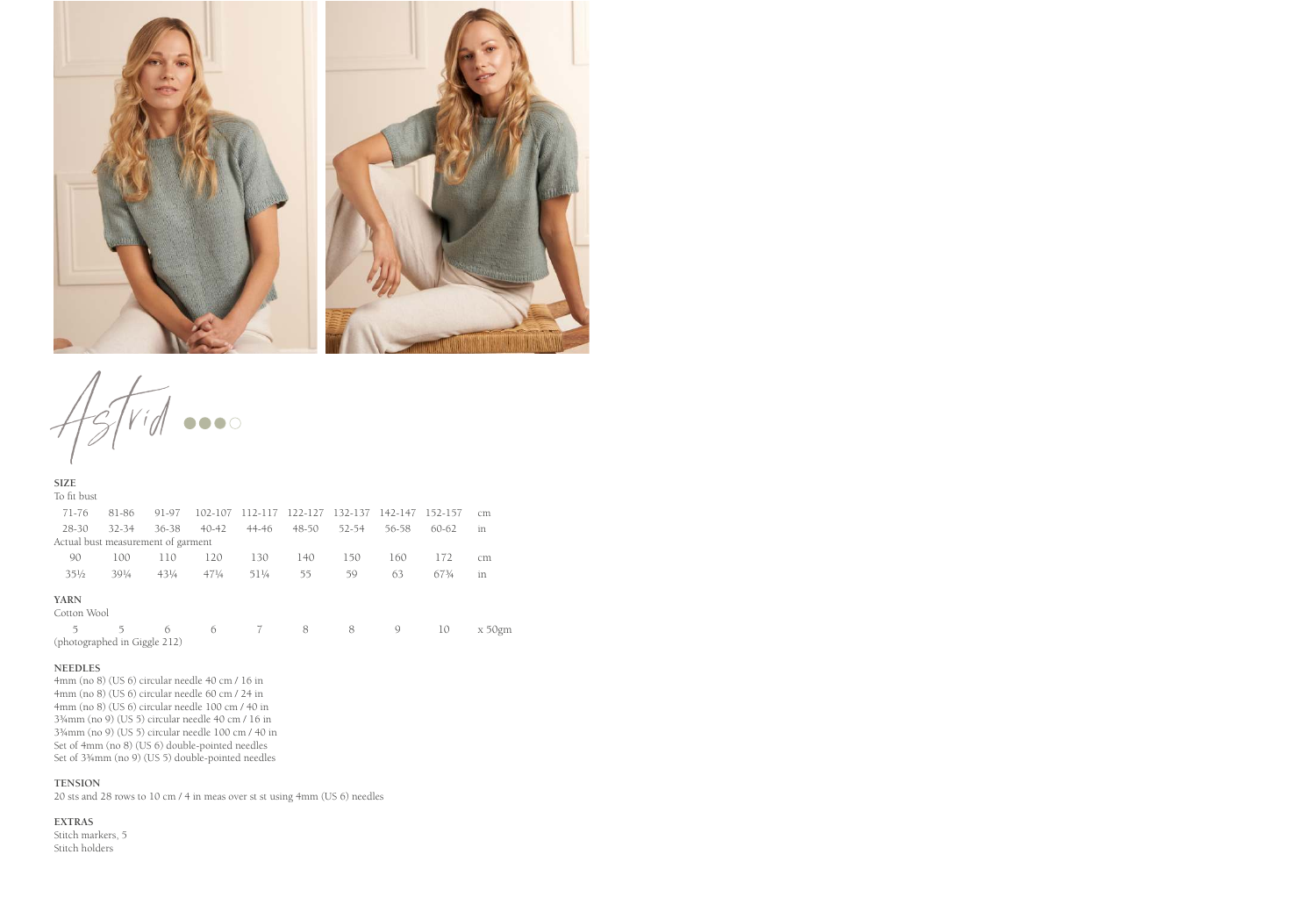

 $t_{\mathsf{M}}$  ...

**SIZE** To fit bust

| to he duse                         |                 |                 |                 |         |           |         |         |           |           |
|------------------------------------|-----------------|-----------------|-----------------|---------|-----------|---------|---------|-----------|-----------|
| 71-76                              | 81-86           | 91-97           | 102-107         | 112-117 | 122-127   | 132-137 | 142-147 | 152-157   | cm        |
| $28 - 30$                          | $32 - 34$       | $36 - 38$       | $40 - 42$       | 44-46   | $48 - 50$ | 52-54   | 56-58   | $60 - 62$ | in        |
| Actual bust measurement of garment |                 |                 |                 |         |           |         |         |           |           |
| 90                                 | 100             | 110             | 120             | 130     | 140       | 150     | 160     | 172       | cm        |
| $35\frac{1}{2}$                    | $39\frac{1}{4}$ | $43\frac{1}{4}$ | $47\frac{1}{4}$ | 511/4   | 55        | 59      | 63      | 673/4     | in        |
| <b>YARN</b><br>Cotton Wool         |                 |                 |                 |         |           |         |         |           |           |
| 5                                  | 5               | 6               | 6               | 7       | 8         | 8       | 9       | 10        | $x 50$ gm |
| (photographed in Giggle 212)       |                 |                 |                 |         |           |         |         |           |           |

#### **NEEDLES**

4mm (no 8) (US 6) circular needle 40 cm / 16 in 4mm (no 8) (US 6) circular needle 60 cm / 24 in 4mm (no 8) (US 6) circular needle 100 cm / 40 in 3¾mm (no 9) (US 5) circular needle 40 cm / 16 in 3¾mm (no 9) (US 5) circular needle 100 cm / 40 in Set of 4mm (no 8) (US 6) double-pointed needles Set of 3¾mm (no 9) (US 5) double-pointed needles

#### **TENSION**

20 sts and 28 rows to 10 cm / 4 in meas over st st using 4mm (US 6) needles

#### **EXTRAS**

Stitch markers, 5 Stitch holders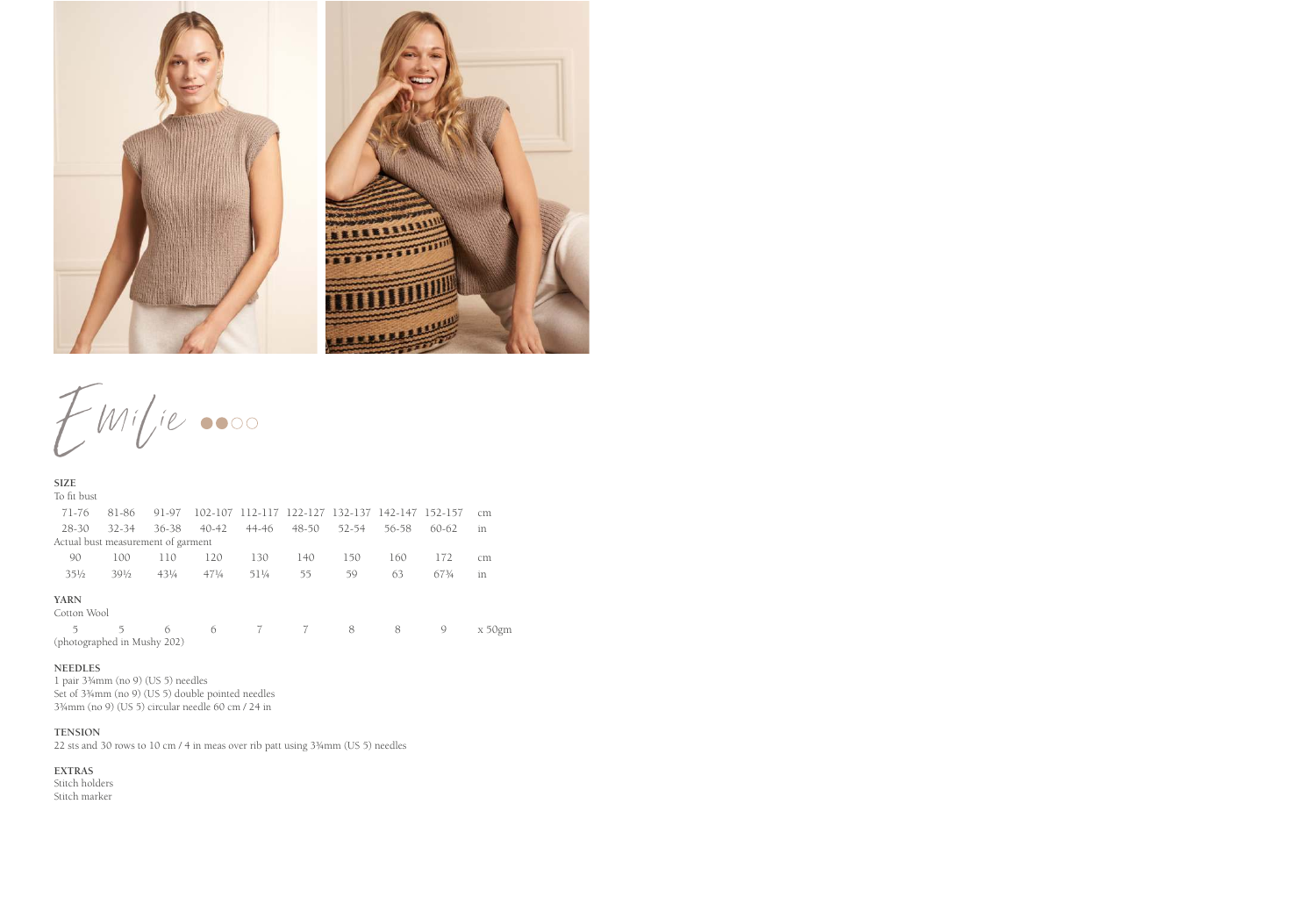

 $EMilie$ 

| <b>SIZE</b>                        |                 |                 |                 |       |                                         |       |       |           |            |
|------------------------------------|-----------------|-----------------|-----------------|-------|-----------------------------------------|-------|-------|-----------|------------|
| To fit bust                        |                 |                 |                 |       |                                         |       |       |           |            |
| 71-76                              | 81-86           | 91-97           | 102-107         |       | 112-117 122-127 132-137 142-147 152-157 |       |       |           | cm         |
| 28-30                              | $32 - 34$       | 36-38           | $40 - 42$       | 44-46 | $48 - 50$                               | 52-54 | 56-58 | $60 - 62$ | in         |
| Actual bust measurement of garment |                 |                 |                 |       |                                         |       |       |           |            |
| 90                                 | 100             | 110             | 120             | 130   | 140                                     | 150   | 160   | 172       | cm         |
| $35\frac{1}{2}$                    | $39\frac{1}{2}$ | $43\frac{1}{4}$ | $47\frac{1}{4}$ | 511/4 | 55                                      | 59    | 63    | 673/4     | in         |
| <b>YARN</b><br>Cotton Wool         |                 |                 |                 |       |                                         |       |       |           |            |
| 5                                  | 5               | 6               | 6               | 7     | 7                                       | 8     | 8     | 9         | $x\,50$ gm |
| (photographed in Mushy 202)        |                 |                 |                 |       |                                         |       |       |           |            |

## **NEEDLES**

1 pair 3¾mm (no 9) (US 5) needles Set of 3¾mm (no 9) (US 5) double pointed needles 3¾mm (no 9) (US 5) circular needle 60 cm / 24 in

## **TENSION**

22 sts and 30 rows to 10 cm / 4 in meas over rib patt using 3¾mm (US 5) needles

# **EXTRAS**

Stitch holders Stitch marker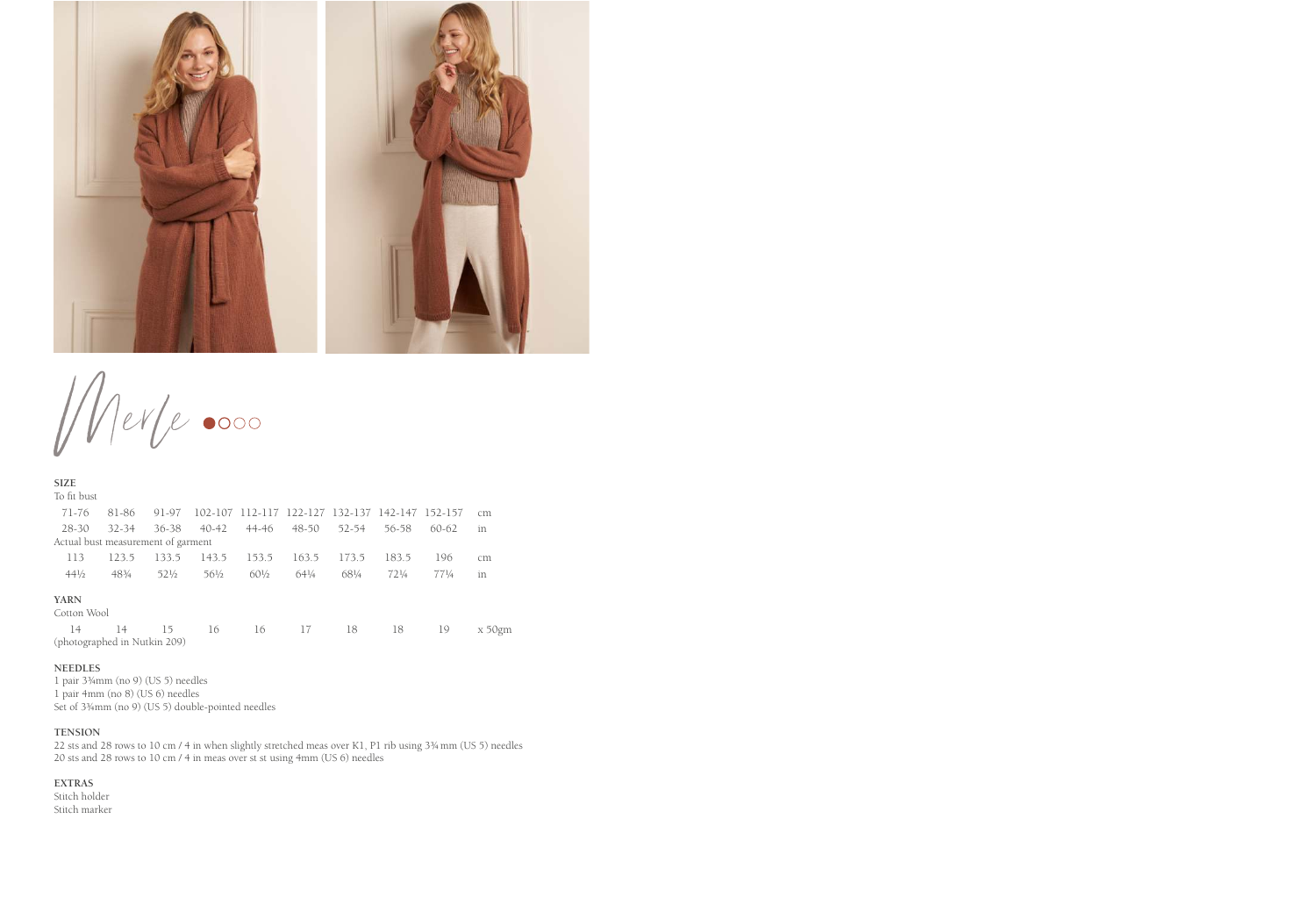

Merle 0000

| <b>SIZE</b>                        |           |                 |                 |                 |                                                 |           |                 |                 |            |
|------------------------------------|-----------|-----------------|-----------------|-----------------|-------------------------------------------------|-----------|-----------------|-----------------|------------|
| To fit bust                        |           |                 |                 |                 |                                                 |           |                 |                 |            |
| 71-76                              | 81-86     | 91-97           |                 |                 | 102-107 112-117 122-127 132-137 142-147 152-157 |           |                 |                 | cm         |
| 28-30                              | $32 - 34$ | 36-38           | $40 - 42$       | 44-46           | 48-50                                           | $52 - 54$ | 56-58           | $60-62$         | in         |
| Actual bust measurement of garment |           |                 |                 |                 |                                                 |           |                 |                 |            |
| 113                                | 123.5     | 133.5           | 143.5           | 153.5           | 163.5                                           | 173.5     | 183.5           | 196             | cm         |
| $44\frac{1}{2}$                    | 483/4     | $52\frac{1}{2}$ | $56\frac{1}{2}$ | $60\frac{1}{2}$ | 641/4                                           | 681/4     | $72\frac{1}{4}$ | $77\frac{1}{4}$ | in         |
| <b>YARN</b><br>Cotton Wool         |           |                 |                 |                 |                                                 |           |                 |                 |            |
| 14<br>(photographed in Nutkin 209) | 14        | 15              | 16              | 16              | 17                                              | 18        | 18              | 19              | $x\,50$ gm |
|                                    |           |                 |                 |                 |                                                 |           |                 |                 |            |

## **NEEDLES**

1 pair 3¾mm (no 9) (US 5) needles 1 pair 4mm (no 8) (US 6) needles Set of 3¾mm (no 9) (US 5) double-pointed needles

### **TENSION**

22 sts and 28 rows to 10 cm / 4 in when slightly stretched meas over K1, P1 rib using 3¾mm (US 5) needles 20 sts and 28 rows to 10 cm / 4 in meas over st st using 4mm (US 6) needles

#### **EXTRAS**

Stitch holder Stitch marker